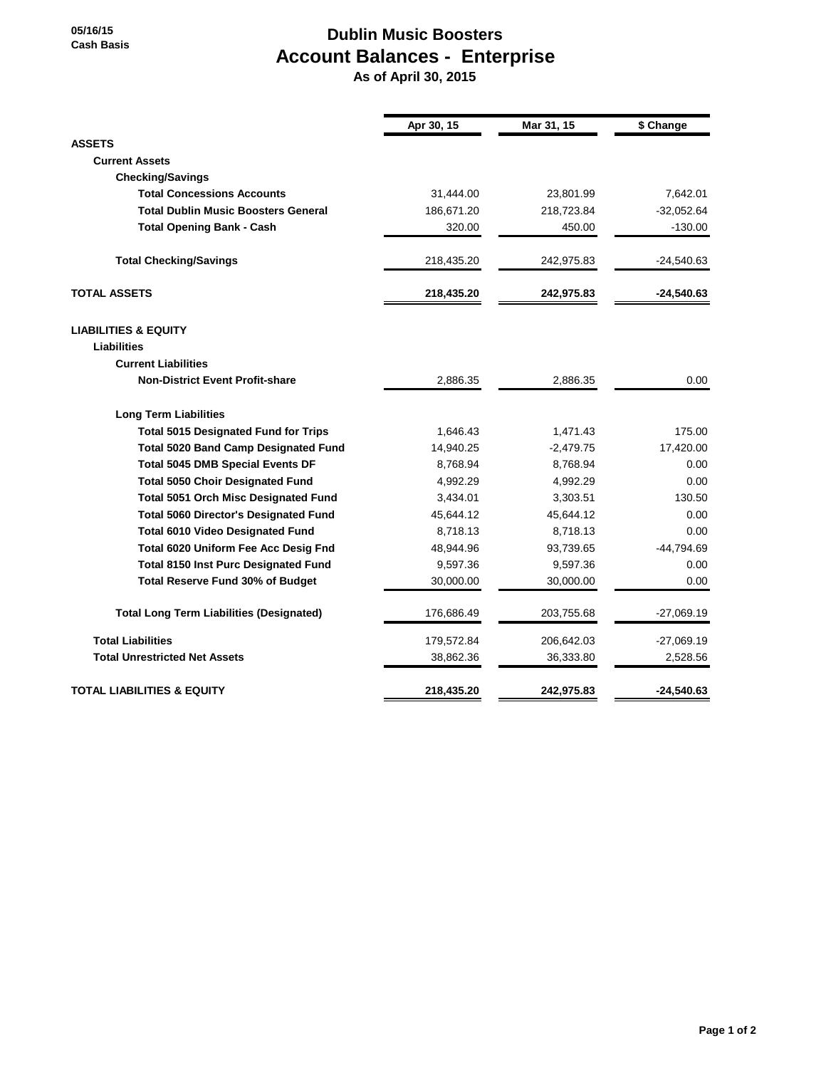## **Dublin Music Boosters Account Balances - Enterprise**

 **As of April 30, 2015**

|                                                 | Apr 30, 15 | Mar 31, 15  | \$ Change    |
|-------------------------------------------------|------------|-------------|--------------|
| <b>ASSETS</b>                                   |            |             |              |
| <b>Current Assets</b>                           |            |             |              |
| <b>Checking/Savings</b>                         |            |             |              |
| <b>Total Concessions Accounts</b>               | 31,444.00  | 23,801.99   | 7,642.01     |
| <b>Total Dublin Music Boosters General</b>      | 186,671.20 | 218,723.84  | $-32,052.64$ |
| <b>Total Opening Bank - Cash</b>                | 320.00     | 450.00      | $-130.00$    |
| <b>Total Checking/Savings</b>                   | 218,435.20 | 242,975.83  | $-24,540.63$ |
| <b>TOTAL ASSETS</b>                             | 218,435.20 | 242,975.83  | $-24,540.63$ |
| <b>LIABILITIES &amp; EQUITY</b>                 |            |             |              |
| Liabilities                                     |            |             |              |
| <b>Current Liabilities</b>                      |            |             |              |
| <b>Non-District Event Profit-share</b>          | 2,886.35   | 2,886.35    | 0.00         |
| <b>Long Term Liabilities</b>                    |            |             |              |
| <b>Total 5015 Designated Fund for Trips</b>     | 1,646.43   | 1,471.43    | 175.00       |
| <b>Total 5020 Band Camp Designated Fund</b>     | 14,940.25  | $-2,479.75$ | 17,420.00    |
| <b>Total 5045 DMB Special Events DF</b>         | 8,768.94   | 8,768.94    | 0.00         |
| <b>Total 5050 Choir Designated Fund</b>         | 4,992.29   | 4,992.29    | 0.00         |
| Total 5051 Orch Misc Designated Fund            | 3,434.01   | 3,303.51    | 130.50       |
| <b>Total 5060 Director's Designated Fund</b>    | 45,644.12  | 45,644.12   | 0.00         |
| <b>Total 6010 Video Designated Fund</b>         | 8,718.13   | 8,718.13    | 0.00         |
| Total 6020 Uniform Fee Acc Desig Fnd            | 48,944.96  | 93,739.65   | -44,794.69   |
| <b>Total 8150 Inst Purc Designated Fund</b>     | 9,597.36   | 9,597.36    | 0.00         |
| <b>Total Reserve Fund 30% of Budget</b>         | 30,000.00  | 30,000.00   | 0.00         |
| <b>Total Long Term Liabilities (Designated)</b> | 176,686.49 | 203,755.68  | $-27,069.19$ |
| <b>Total Liabilities</b>                        | 179,572.84 | 206,642.03  | $-27,069.19$ |
| <b>Total Unrestricted Net Assets</b>            | 38,862.36  | 36,333.80   | 2,528.56     |
| <b>TOTAL LIABILITIES &amp; EQUITY</b>           | 218,435.20 | 242,975.83  | $-24,540.63$ |